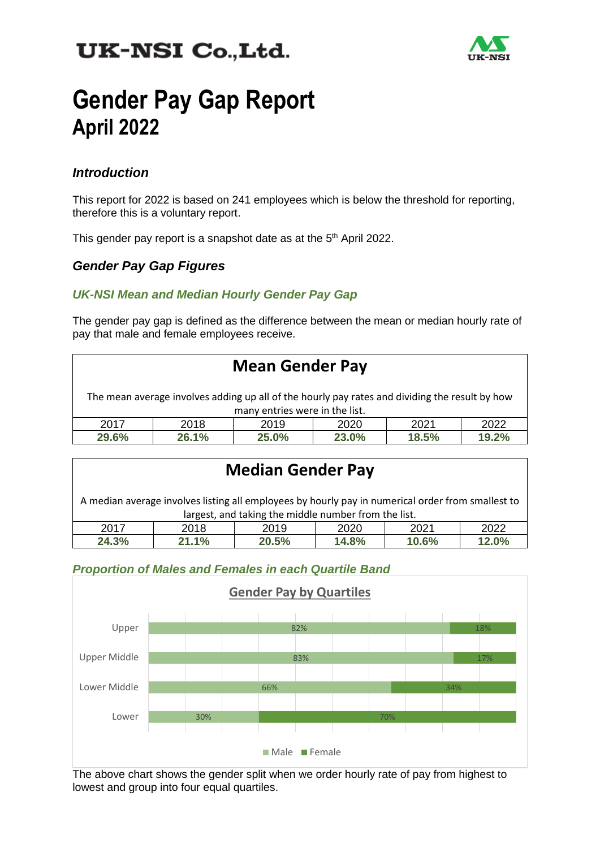## UK-NSI Co., Ltd.



# **Gender Pay Gap Report April 2022**

#### *Introduction*

This report for 2022 is based on 241 employees which is below the threshold for reporting, therefore this is a voluntary report.

This gender pay report is a snapshot date as at the 5<sup>th</sup> April 2022.

#### *Gender Pay Gap Figures*

#### *UK-NSI Mean and Median Hourly Gender Pay Gap*

The gender pay gap is defined as the difference between the mean or median hourly rate of pay that male and female employees receive.

| <b>Mean Gender Pay</b>                                                                                                           |       |       |       |       |       |  |  |  |
|----------------------------------------------------------------------------------------------------------------------------------|-------|-------|-------|-------|-------|--|--|--|
| The mean average involves adding up all of the hourly pay rates and dividing the result by how<br>many entries were in the list. |       |       |       |       |       |  |  |  |
| 2017                                                                                                                             | 2018  | 2019  | 2020  | 2021  | 2022  |  |  |  |
| 29.6%                                                                                                                            | 26.1% | 25.0% | 23.0% | 18.5% | 19.2% |  |  |  |

### **Median Gender Pay**

A median average involves listing all employees by hourly pay in numerical order from smallest to largest, and taking the middle number from the list.

| .<br>.<br>__<br>___<br>___<br>____<br>____<br>____<br>___ |            |       |      |      |                         |  |  |  |
|-----------------------------------------------------------|------------|-------|------|------|-------------------------|--|--|--|
| 2017                                                      | 2018       | 2019  | 2020 | 2021 | 2022                    |  |  |  |
| 24.3%                                                     | 1.1%<br>64 | 20.5% | 4.8% | 0.6% | 1 ን ሰዐ/<br><b>Z.U70</b> |  |  |  |

#### *Proportion of Males and Females in each Quartile Band*



The above chart shows the gender split when we order hourly rate of pay from highest to lowest and group into four equal quartiles.